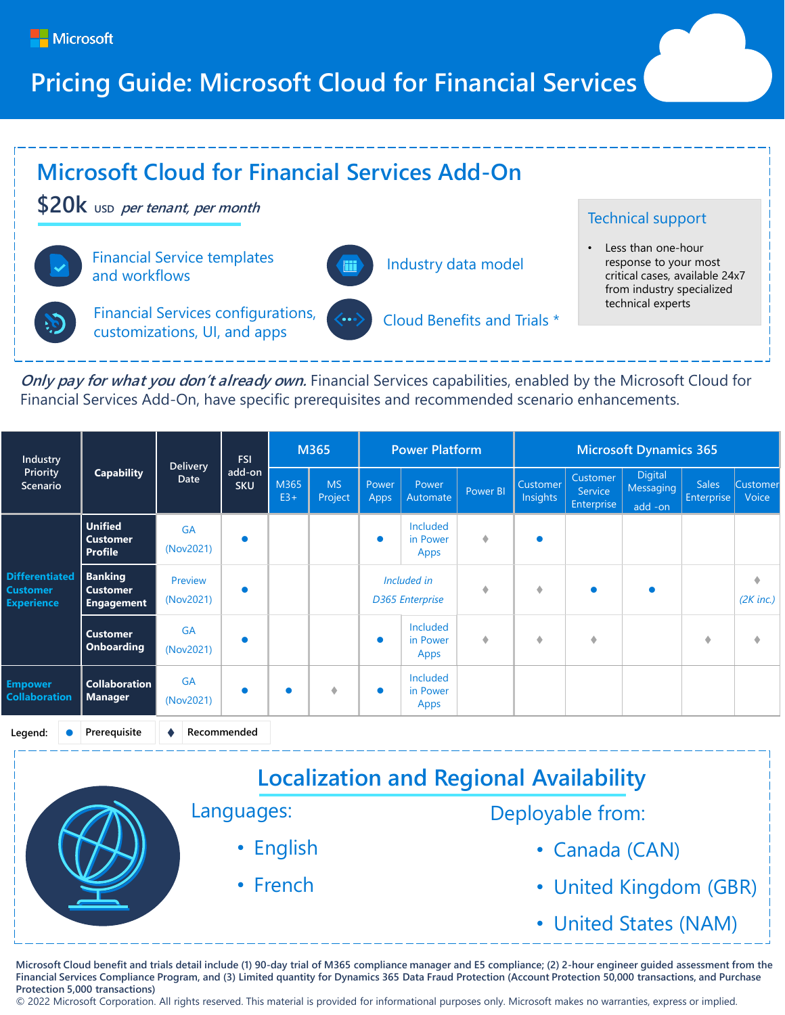

## **Pricing Guide: Microsoft Cloud for Financial Services**



**Only pay for what you don't already own.** Financial Services capabilities, enabled by the Microsoft Cloud for Financial Services Add-On, have specific prerequisites and recommended scenario enhancements.

| Industry<br>Priority<br>Scenario                              | <b>Capability</b>                                      | <b>Delivery</b><br>Date | <b>FSI</b><br>add-on<br><b>SKU</b> | M365          |                      | <b>Power Platform</b>                 |                                     |          | <b>Microsoft Dynamics 365</b> |                                   |                                        |                            |                   |
|---------------------------------------------------------------|--------------------------------------------------------|-------------------------|------------------------------------|---------------|----------------------|---------------------------------------|-------------------------------------|----------|-------------------------------|-----------------------------------|----------------------------------------|----------------------------|-------------------|
|                                                               |                                                        |                         |                                    | M365<br>$E3+$ | <b>MS</b><br>Project | Power<br>Apps                         | <b>Power</b><br>Automate            | Power BI | Customer<br>Insights          | Customer<br>Service<br>Enterprise | <b>Digital</b><br>Messaging<br>add -on | <b>Sales</b><br>Enterprise | Customer<br>Voice |
| <b>Differentiated</b><br><b>Customer</b><br><b>Experience</b> | <b>Unified</b><br><b>Customer</b><br><b>Profile</b>    | <b>GA</b><br>(Nov2021)  | $\bullet$                          |               |                      | $\bullet$                             | <b>Included</b><br>in Power<br>Apps | ۰        | $\bullet$                     |                                   |                                        |                            |                   |
|                                                               | <b>Banking</b><br><b>Customer</b><br><b>Engagement</b> | Preview<br>(Nov2021)    | $\bullet$                          |               |                      | Included in<br><b>D365 Enterprise</b> |                                     |          | ۰                             | $\bullet$                         |                                        |                            | ۰<br>$(2K$ inc.)  |
|                                                               | <b>Customer</b><br><b>Onboarding</b>                   | <b>GA</b><br>(Nov2021)  |                                    |               |                      |                                       | Included<br>in Power<br>Apps        | ۰        | ۰                             | ۰                                 |                                        | ۰                          | ۰                 |
| <b>Empower</b><br><b>Collaboration</b>                        | <b>Collaboration</b><br><b>Manager</b>                 | <b>GA</b><br>(Nov2021)  | $\bullet$                          |               | ۰                    | $\bullet$                             | Included<br>in Power<br>Apps        |          |                               |                                   |                                        |                            |                   |
| Legend:                                                       | Prerequisite                                           |                         | Recommended                        |               |                      |                                       |                                     |          |                               |                                   |                                        |                            |                   |

| <b>Localization and Regional Availability</b> |                        |  |  |  |  |  |
|-----------------------------------------------|------------------------|--|--|--|--|--|
| Languages:                                    | Deployable from:       |  |  |  |  |  |
| • English                                     | • Canada (CAN)         |  |  |  |  |  |
| • French                                      | • United Kingdom (GBR) |  |  |  |  |  |
|                                               | • United States (NAM)  |  |  |  |  |  |

Microsoft Cloud benefit and trials detail include (1) 90-day trial of M365 compliance manager and E5 compliance; (2) 2-hour engineer guided assessment from the **Financial Services Compliance Program, and (3) Limited quantity for Dynamics 365 Data Fraud Protection (Account Protection 50,000 transactions, and Purchase Protection 5,000 transactions)**

© 2022 Microsoft Corporation. All rights reserved. This material is provided for informational purposes only. Microsoft makes no warranties, express or implied.